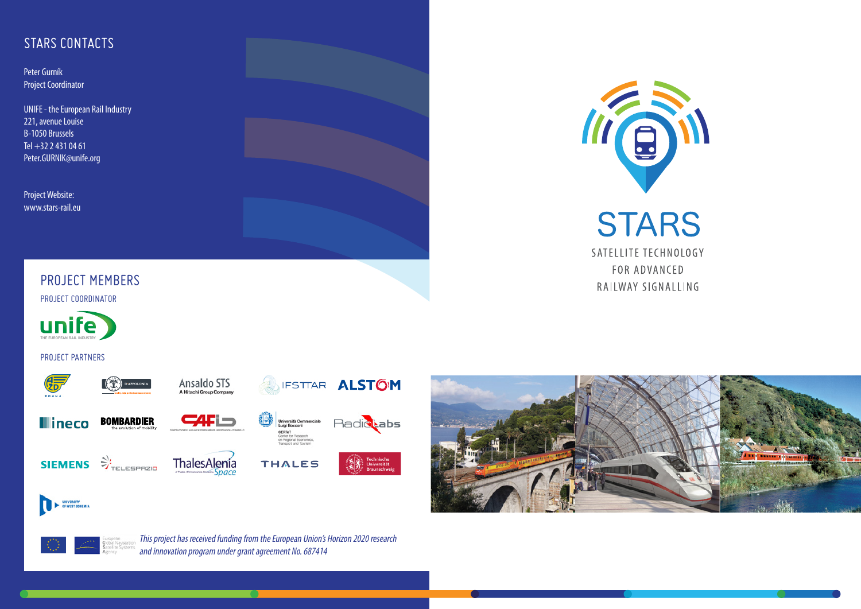# STARS CONTACTS

Peter Gurník Project Coordinator

UNIFE - the European Rail Industry 221, avenue Louise B-1050 Brussels Tel +32 2 431 04 61 Peter.GURNIK@unife.org

Project Website: www.stars-rail.eu



### PROJECT MEMBERS

PROJECT COORDINATOR



#### PROJECT PARTNERS









**CALI –** 





UNIVERSITY<br>OF WEST BOHEM









IFSTTAR ALSTOM

Università Con<br>Luigi Bocconi





п

This project has received funding from the European Union's Horizon 2020 research and innovation program under grant agreement No. 687414